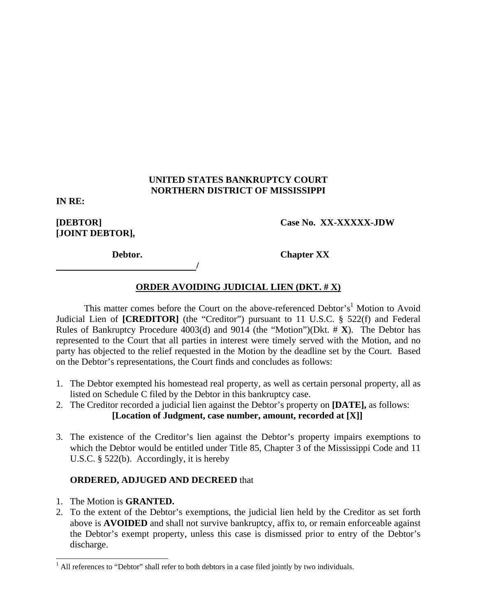### **UNITED STATES BANKRUPTCY COURT NORTHERN DISTRICT OF MISSISSIPPI**

**IN RE:** 

**[JOINT DEBTOR],** 

### **[DEBTOR] Case No. XX-XXXXX-JDW**

*<i> /*  $\frac{1}{2}$  //  $\frac{1}{2}$  //

**Debtor.** Chapter XX

# **ORDER AVOIDING JUDICIAL LIEN (DKT. # X)**

This matter comes before the Court on the above-referenced Debtor's<sup>1</sup> Motion to Avoid Judicial Lien of **[CREDITOR]** (the "Creditor") pursuant to 11 U.S.C. § 522(f) and Federal Rules of Bankruptcy Procedure 4003(d) and 9014 (the "Motion")(Dkt. # **X**). The Debtor has represented to the Court that all parties in interest were timely served with the Motion, and no party has objected to the relief requested in the Motion by the deadline set by the Court. Based on the Debtor's representations, the Court finds and concludes as follows:

- 1. The Debtor exempted his homestead real property, as well as certain personal property, all as listed on Schedule C filed by the Debtor in this bankruptcy case.
- 2. The Creditor recorded a judicial lien against the Debtor's property on **[DATE],** as follows: **[Location of Judgment, case number, amount, recorded at [X]]**
- 3. The existence of the Creditor's lien against the Debtor's property impairs exemptions to which the Debtor would be entitled under Title 85, Chapter 3 of the Mississippi Code and 11 U.S.C. § 522(b). Accordingly, it is hereby

### **ORDERED, ADJUGED AND DECREED** that

- 1. The Motion is **GRANTED.**
- 2. To the extent of the Debtor's exemptions, the judicial lien held by the Creditor as set forth above is **AVOIDED** and shall not survive bankruptcy, affix to, or remain enforceable against the Debtor's exempt property, unless this case is dismissed prior to entry of the Debtor's discharge.

 $\overline{a}$  $<sup>1</sup>$  All references to "Debtor" shall refer to both debtors in a case filed jointly by two individuals.</sup>